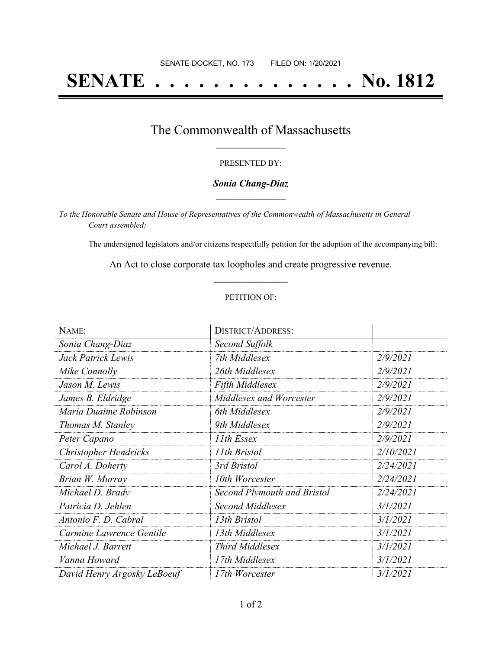# **SENATE . . . . . . . . . . . . . . No. 1812**

### The Commonwealth of Massachusetts **\_\_\_\_\_\_\_\_\_\_\_\_\_\_\_\_\_**

#### PRESENTED BY:

#### *Sonia Chang-Diaz* **\_\_\_\_\_\_\_\_\_\_\_\_\_\_\_\_\_**

*To the Honorable Senate and House of Representatives of the Commonwealth of Massachusetts in General Court assembled:*

The undersigned legislators and/or citizens respectfully petition for the adoption of the accompanying bill:

An Act to close corporate tax loopholes and create progressive revenue. **\_\_\_\_\_\_\_\_\_\_\_\_\_\_\_**

#### PETITION OF:

| NAME:                       | <b>DISTRICT/ADDRESS:</b>           |           |
|-----------------------------|------------------------------------|-----------|
| Sonia Chang-Diaz            | Second Suffolk                     |           |
| Jack Patrick Lewis          | 7th Middlesex                      | 2/9/2021  |
| Mike Connolly               | 26th Middlesex                     | 2/9/2021  |
| Jason M. Lewis              | <b>Fifth Middlesex</b>             | 2/9/2021  |
| James B. Eldridge           | Middlesex and Worcester            | 2/9/2021  |
| Maria Duaime Robinson       | 6th Middlesex                      | 2/9/2021  |
| Thomas M. Stanley           | 9th Middlesex                      | 2/9/2021  |
| Peter Capano                | 11th Essex                         | 2/9/2021  |
| Christopher Hendricks       | 11th Bristol                       | 2/10/2021 |
| Carol A. Doherty            | 3rd Bristol                        | 2/24/2021 |
| Brian W. Murray             | 10th Worcester                     | 2/24/2021 |
| Michael D. Brady            | <b>Second Plymouth and Bristol</b> | 2/24/2021 |
| Patricia D. Jehlen          | <b>Second Middlesex</b>            | 3/1/2021  |
| Antonio F. D. Cabral        | 13th Bristol                       | 3/1/2021  |
| Carmine Lawrence Gentile    | 13th Middlesex                     | 3/1/2021  |
| Michael J. Barrett          | Third Middlesex                    | 3/1/2021  |
| Vanna Howard                | 17th Middlesex                     | 3/1/2021  |
| David Henry Argosky LeBoeuf | 17th Worcester                     | 3/1/2021  |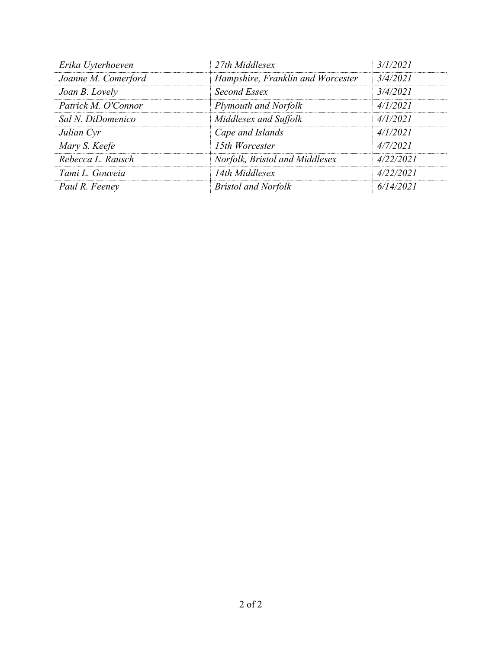| Erika Uyterhoeven   | 27th Middlesex                    | 3/1/2021  |
|---------------------|-----------------------------------|-----------|
| Joanne M. Comerford | Hampshire, Franklin and Worcester | 3/4/2021  |
| Joan B. Lovely      | Second Essex                      | 3/4/2021  |
| Patrick M. O'Connor | Plymouth and Norfolk              | 4/1/2021  |
| Sal N. DiDomenico   | Middlesex and Suffolk             | 4/1/2021  |
| Julian Cyr          | Cape and Islands                  | 4/1/2021  |
| Mary S. Keefe       | 15th Worcester                    | 4/7/2021  |
| Rebecca L. Rausch   | Norfolk, Bristol and Middlesex    | 4/22/2021 |
| Tami L. Gouveia     | 14th Middlesex                    | 4/22/2021 |
| Paul R. Feeney      | <b>Bristol and Norfolk</b>        | 6/14/2021 |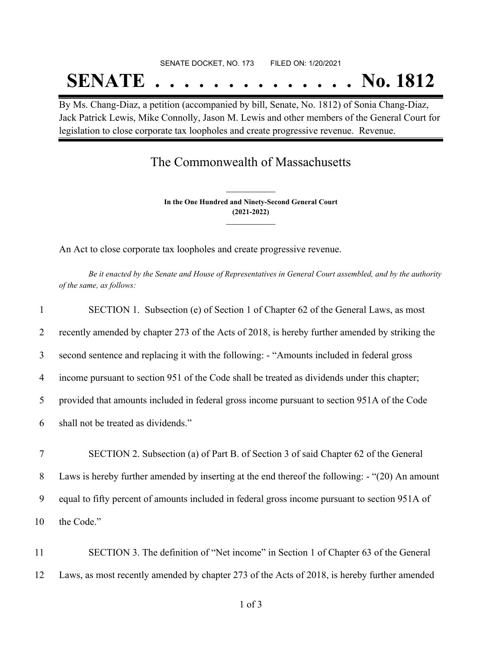# SENATE DOCKET, NO. 173 FILED ON: 1/20/2021 **SENATE . . . . . . . . . . . . . . No. 1812**

By Ms. Chang-Diaz, a petition (accompanied by bill, Senate, No. 1812) of Sonia Chang-Diaz, Jack Patrick Lewis, Mike Connolly, Jason M. Lewis and other members of the General Court for legislation to close corporate tax loopholes and create progressive revenue. Revenue.

## The Commonwealth of Massachusetts

**In the One Hundred and Ninety-Second General Court (2021-2022) \_\_\_\_\_\_\_\_\_\_\_\_\_\_\_**

**\_\_\_\_\_\_\_\_\_\_\_\_\_\_\_**

An Act to close corporate tax loopholes and create progressive revenue.

Be it enacted by the Senate and House of Representatives in General Court assembled, and by the authority *of the same, as follows:*

|        | SECTION 1. Subsection (e) of Section 1 of Chapter 62 of the General Laws, as most               |
|--------|-------------------------------------------------------------------------------------------------|
| 2      | recently amended by chapter 273 of the Acts of 2018, is hereby further amended by striking the  |
| 3      | second sentence and replacing it with the following: - "Amounts included in federal gross       |
| 4      | income pursuant to section 951 of the Code shall be treated as dividends under this chapter;    |
| 5      | provided that amounts included in federal gross income pursuant to section 951A of the Code     |
| 6      | shall not be treated as dividends."                                                             |
| $\tau$ | SECTION 2. Subsection (a) of Part B. of Section 3 of said Chapter 62 of the General             |
| 8      | Laws is hereby further amended by inserting at the end thereof the following: - "(20) An amount |
| 9      | equal to fifty percent of amounts included in federal gross income pursuant to section 951A of  |
| 10     | the Code."                                                                                      |
|        |                                                                                                 |

11 SECTION 3. The definition of "Net income" in Section 1 of Chapter 63 of the General 12 Laws, as most recently amended by chapter 273 of the Acts of 2018, is hereby further amended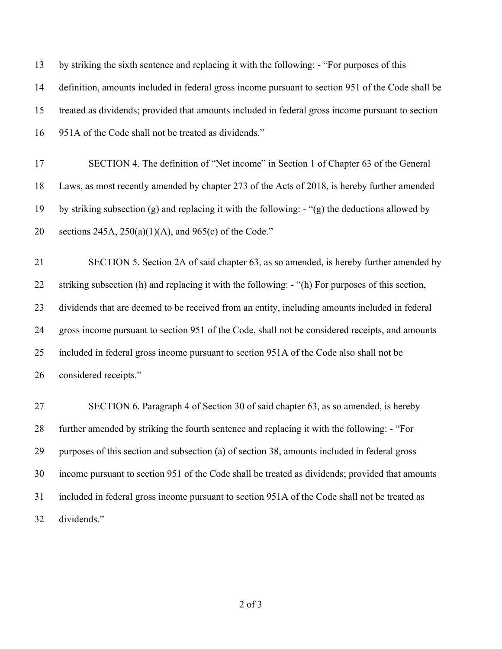| 13 | by striking the sixth sentence and replacing it with the following: - "For purposes of this        |
|----|----------------------------------------------------------------------------------------------------|
| 14 | definition, amounts included in federal gross income pursuant to section 951 of the Code shall be  |
| 15 | treated as dividends; provided that amounts included in federal gross income pursuant to section   |
| 16 | 951A of the Code shall not be treated as dividends."                                               |
| 17 | SECTION 4. The definition of "Net income" in Section 1 of Chapter 63 of the General                |
| 18 | Laws, as most recently amended by chapter 273 of the Acts of 2018, is hereby further amended       |
| 19 | by striking subsection $(g)$ and replacing it with the following: $-(g)$ the deductions allowed by |
| 20 | sections 245A, $250(a)(1)(A)$ , and 965(c) of the Code."                                           |
| 21 | SECTION 5. Section 2A of said chapter 63, as so amended, is hereby further amended by              |
| 22 | striking subsection (h) and replacing it with the following: - "(h) For purposes of this section,  |
| 23 | dividends that are deemed to be received from an entity, including amounts included in federal     |
| 24 | gross income pursuant to section 951 of the Code, shall not be considered receipts, and amounts    |
| 25 | included in federal gross income pursuant to section 951A of the Code also shall not be            |
| 26 | considered receipts."                                                                              |
| 27 | SECTION 6. Paragraph 4 of Section 30 of said chapter 63, as so amended, is hereby                  |
| 28 | further amended by striking the fourth sentence and replacing it with the following: - "For        |
| 29 | purposes of this section and subsection (a) of section 38, amounts included in federal gross       |
| 30 | income pursuant to section 951 of the Code shall be treated as dividends; provided that amounts    |

 included in federal gross income pursuant to section 951A of the Code shall not be treated as dividends."

of 3